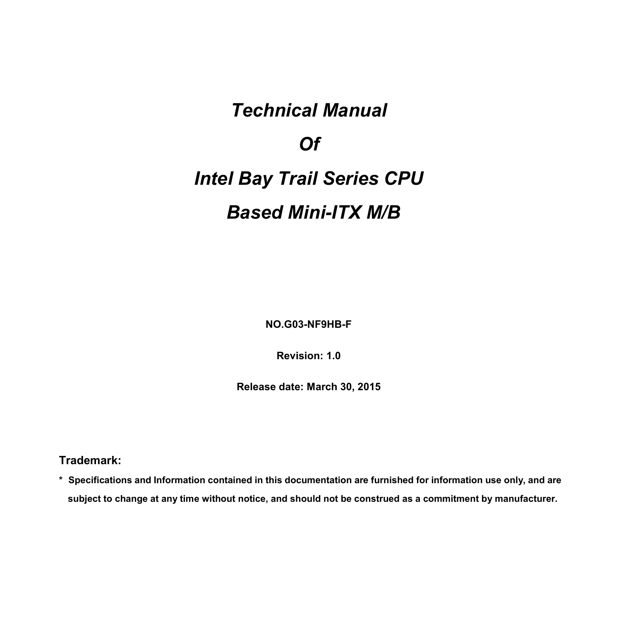### *Technical Manual*

*Of*

# *Intel Bay Trail Series CPU Based Mini-ITX M/B*

**NO.G03-NF9HB-F**

**Revision: 1.0**

**Release date: March 30, 2015**

**Trademark:**

**\* Specifications and Information contained in this documentation are furnished for information use only, and are** subject to change at any time without notice, and should not be construed as a commitment by manufacturer.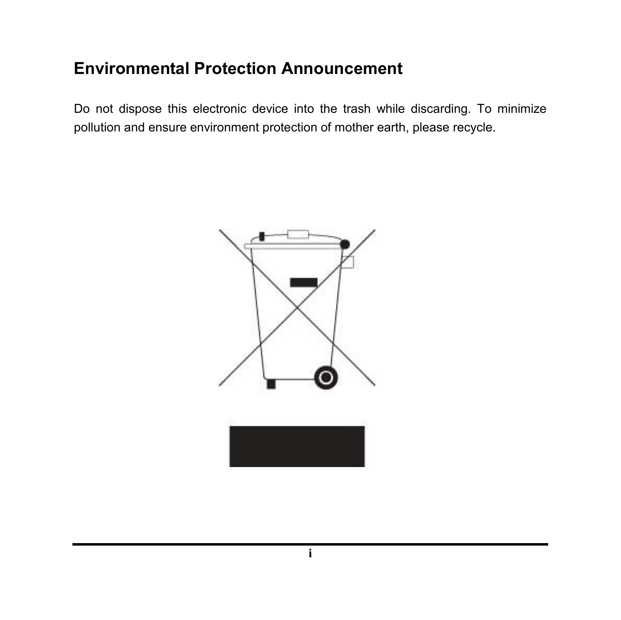### **Environmental Protection Announcement**

Do not dispose this electronic device into the trash while discarding. To minimize pollution and ensure environment protection of mother earth, please recycle.

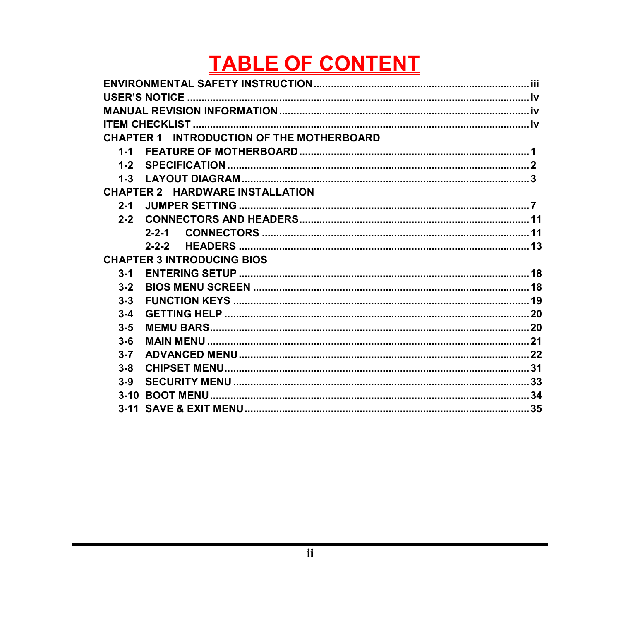# **TABLE OF CONTENT**

|         | <b>CHAPTER 1 INTRODUCTION OF THE MOTHERBOARD</b> |  |
|---------|--------------------------------------------------|--|
| $1 - 1$ |                                                  |  |
|         |                                                  |  |
| $1 - 3$ |                                                  |  |
|         | <b>CHAPTER 2 HARDWARE INSTALLATION</b>           |  |
| $2 - 1$ |                                                  |  |
|         |                                                  |  |
|         | $2 - 2 - 1$                                      |  |
|         | $2 - 2 - 2$                                      |  |
|         | <b>CHAPTER 3 INTRODUCING BIOS</b>                |  |
| $3 - 1$ |                                                  |  |
| $3 - 2$ |                                                  |  |
| $3 - 3$ |                                                  |  |
| $3 - 4$ |                                                  |  |
| $3 - 5$ |                                                  |  |
| $3 - 6$ |                                                  |  |
| $3 - 7$ |                                                  |  |
| $3 - 8$ |                                                  |  |
| $3-9$   |                                                  |  |
|         |                                                  |  |
|         |                                                  |  |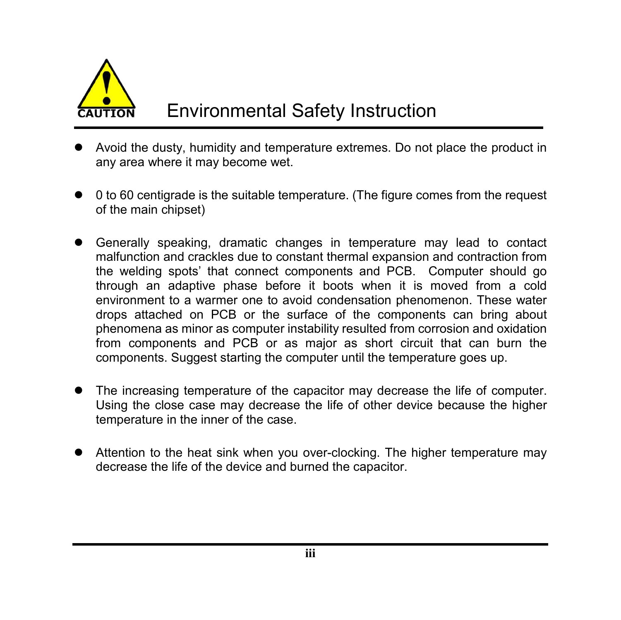

- Avoid the dusty, humidity and temperature extremes. Do not place the product in any area where it may become wet.
- 0 to 60 centigrade is the suitable temperature. (The figure comes from the request of the main chipset)
- Generally speaking, dramatic changes in temperature may lead to contact malfunction and crackles due to constant thermal expansion and contraction from the welding spots' that connect components and PCB. Computer should go through an adaptive phase before it boots when it is moved from a cold environment to a warmer one to avoid condensation phenomenon. These water drops attached on PCB or the surface of the components can bring about phenomena as minor as computer instability resulted from corrosion and oxidation from components and PCB or as major as short circuit that can burn the components. Suggest starting the computer until the temperature goes up.
- The increasing temperature of the capacitor may decrease the life of computer. Using the close case may decrease the life of other device because the higher temperature in the inner of the case.
- Attention to the heat sink when you over-clocking. The higher temperature may decrease the life of the device and burned the capacitor.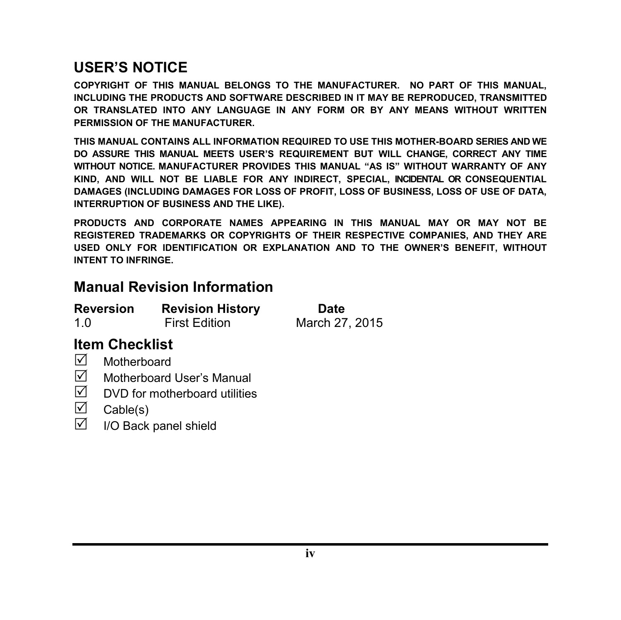### **USER'S NOTICE**

**COPYRIGHT OF THIS MANUAL BELONGS TO THE MANUFACTURER. NO PART OF THIS MANUAL, INCLUDING THE PRODUCTS AND SOFTWARE DESCRIBED IN IT MAY BE REPRODUCED, TRANSMITTED OR TRANSLATED INTO ANY LANGUAGE IN ANY FORM OR BY ANY MEANS WITHOUT WRITTEN PERMISSION OF THE MANUFACTURER.**

**THIS MANUAL CONTAINS ALL INFORMATION REQUIRED TO USE THIS MOTHER-BOARD SERIES AND WE DO ASSURE THIS MANUAL MEETS USER'S REQUIREMENT BUT WILL CHANGE, CORRECT ANY TIME WITHOUT NOTICE. MANUFACTURER PROVIDES THIS MANUAL "AS IS" WITHOUT WARRANTY OF ANY KIND, AND WILL NOT BE LIABLE FOR ANY INDIRECT, SPECIAL, INCIDENTAL OR CONSEQUENTIAL DAMAGES (INCLUDING DAMAGES FOR LOSS OF PROFIT, LOSS OF BUSINESS, LOSS OF USE OF DATA, INTERRUPTION OF BUSINESS AND THE LIKE).**

**PRODUCTS AND CORPORATE NAMES APPEARING IN THIS MANUAL MAY OR MAY NOT BE REGISTERED TRADEMARKS OR COPYRIGHTS OF THEIR RESPECTIVE COMPANIES, AND THEY ARE USED ONLY FOR IDENTIFICATION OR EXPLANATION AND TO THE OWNER'S BENEFIT, WITHOUT INTENT TO INFRINGE.**

#### **Manual Revision Information**

| <b>Reversion</b> | <b>Revision History</b> | Date           |
|------------------|-------------------------|----------------|
| 1.0              | <b>First Edition</b>    | March 27, 2015 |

#### **Item Checklist**

- $\nabla$  Motherboard
- $\overline{M}$  Motherboard User's Manual<br> $\overline{M}$  DVD for motherboard utilities
- DVD for motherboard utilities
- $\overline{\bigtriangledown}$  Cable(s)<br> $\overline{\bigtriangledown}$  I/O Back
- I/O Back panel shield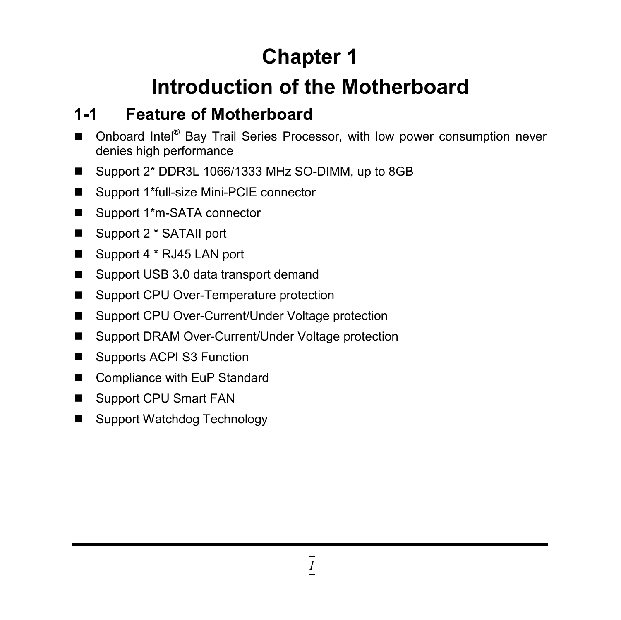# **Chapter 1**

# **Introduction of the Motherboard**

## **1-1 Feature of Motherboard**

- Onboard Intel® Bay Trail Series Processor, with low power consumption never denies high performance
- Support 2\* DDR3L 1066/1333 MHz SO-DIMM, up to 8GB
- Support 1\*full-size Mini-PCIE connector
- Support 1<sup>\*</sup>m-SATA connector
- Support 2 \* SATAII port
- Support 4 \* RJ45 LAN port
- Support USB 3.0 data transport demand
- Support CPU Over-Temperature protection
- Support CPU Over-Current/Under Voltage protection
- Support DRAM Over-Current/Under Voltage protection
- Supports ACPI S3 Function
- Compliance with EuP Standard
- Support CPU Smart FAN
- Support Watchdog Technology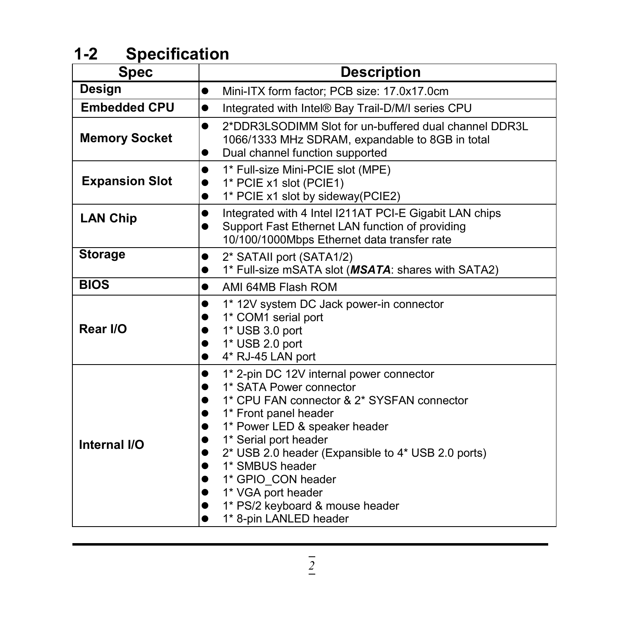## **1-2 Specification**

| <b>Spec</b>           | <b>Description</b>                                                                                                                                                                                                                                                                                                                                                                                            |  |
|-----------------------|---------------------------------------------------------------------------------------------------------------------------------------------------------------------------------------------------------------------------------------------------------------------------------------------------------------------------------------------------------------------------------------------------------------|--|
| <b>Design</b>         | Mini-ITX form factor; PCB size: 17.0x17.0cm<br>$\bullet$                                                                                                                                                                                                                                                                                                                                                      |  |
| <b>Embedded CPU</b>   | Integrated with Intel® Bay Trail-D/M/I series CPU<br>$\bullet$                                                                                                                                                                                                                                                                                                                                                |  |
| <b>Memory Socket</b>  | 2*DDR3LSODIMM Slot for un-buffered dual channel DDR3L<br>$\bullet$<br>1066/1333 MHz SDRAM, expandable to 8GB in total<br>Dual channel function supported<br>$\bullet$                                                                                                                                                                                                                                         |  |
| <b>Expansion Slot</b> | 1* Full-size Mini-PCIE slot (MPE)<br>$\bullet$<br>1* PCIE x1 slot (PCIE1)<br>$\bullet$<br>1* PCIE x1 slot by sideway(PCIE2)<br>$\bullet$                                                                                                                                                                                                                                                                      |  |
| <b>LAN Chip</b>       | Integrated with 4 Intel I211AT PCI-E Gigabit LAN chips<br>$\bullet$<br>Support Fast Ethernet LAN function of providing<br>$\bullet$<br>10/100/1000Mbps Ethernet data transfer rate                                                                                                                                                                                                                            |  |
| <b>Storage</b>        | 2* SATAII port (SATA1/2)<br>$\bullet$<br>1* Full-size mSATA slot (MSATA: shares with SATA2)                                                                                                                                                                                                                                                                                                                   |  |
| <b>BIOS</b>           | AMI 64MB Flash ROM<br>$\bullet$                                                                                                                                                                                                                                                                                                                                                                               |  |
| Rear I/O              | 1* 12V system DC Jack power-in connector<br>1* COM1 serial port<br>1* USB 3.0 port<br>1* USB 2.0 port<br>4* RJ-45 LAN port<br>●                                                                                                                                                                                                                                                                               |  |
| Internal I/O          | 1* 2-pin DC 12V internal power connector<br>$\bullet$<br>1* SATA Power connector<br>●<br>1* CPU FAN connector & 2* SYSFAN connector<br>●<br>1* Front panel header<br>1* Power LED & speaker header<br>1* Serial port header<br>2* USB 2.0 header (Expansible to 4* USB 2.0 ports)<br>1* SMBUS header<br>1* GPIO CON header<br>1* VGA port header<br>1* PS/2 keyboard & mouse header<br>1* 8-pin LANLED header |  |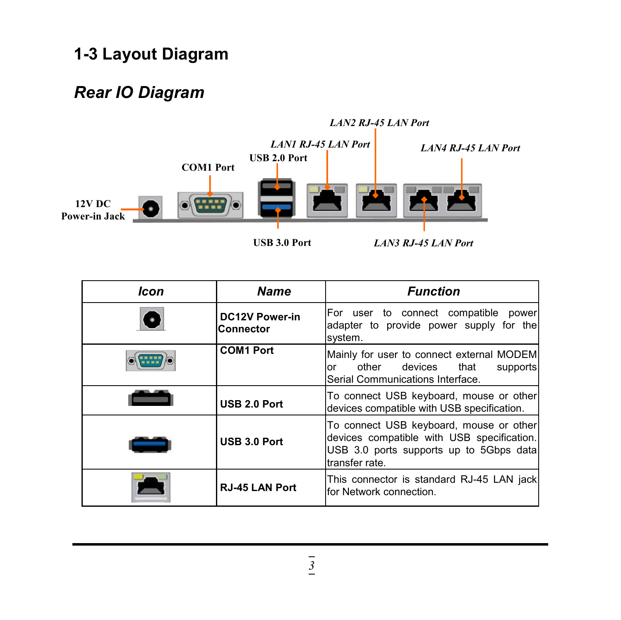### **1-3 Layout Diagram**

### *Rear IO Diagram*



| <b>Icon</b> | <b>Name</b>                               | <b>Function</b>                                                                                                                                    |
|-------------|-------------------------------------------|----------------------------------------------------------------------------------------------------------------------------------------------------|
|             | <b>DC12V Power-in</b><br><b>Connector</b> | For user to connect compatible<br>power<br>adapter to provide power supply for the<br>system.                                                      |
| $\circ$     | <b>COM1 Port</b>                          | Mainly for user to connect external MODEM<br>other<br>devices that<br>supports<br>or<br>Serial Communications Interface.                           |
|             | USB 2.0 Port                              | To connect USB keyboard, mouse or other<br>devices compatible with USB specification.                                                              |
|             | <b>USB 3.0 Port</b>                       | To connect USB keyboard, mouse or other<br>devices compatible with USB specification.<br>USB 3.0 ports supports up to 5Gbps data<br>transfer rate. |
|             | <b>RJ-45 LAN Port</b>                     | This connector is standard RJ-45 LAN jack<br>for Network connection.                                                                               |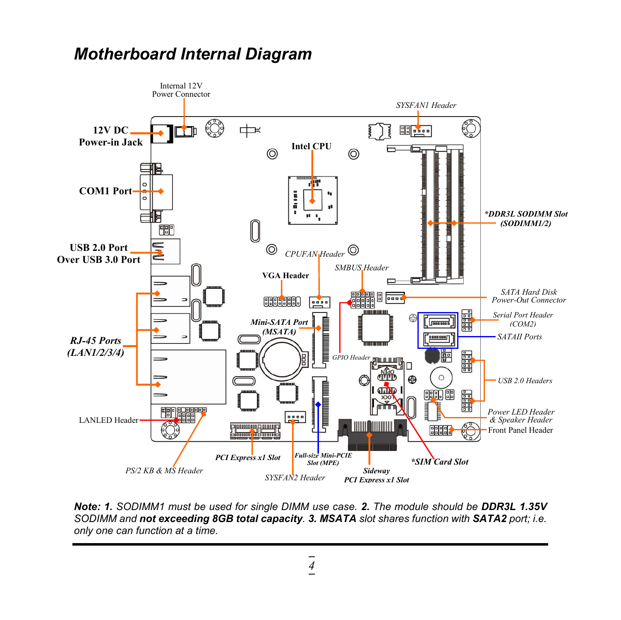### *Motherboard Internal Diagram*



*Note: 1. SODIMM1 must be used for single DIMM use case. 2. The module should be DDR3L 1.35V SODIMM and not exceeding 8GB total capacity. 3. MSATA slot shares function with SATA2 port; i.e. only one can function at a time.*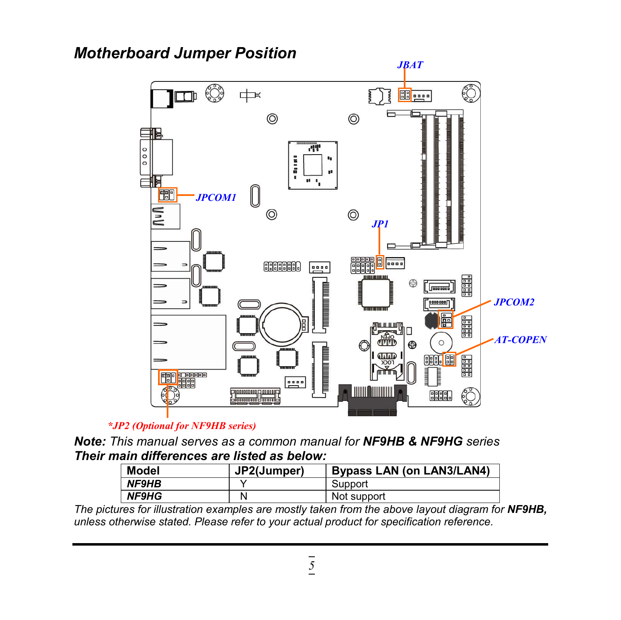#### *Motherboard Jumper Position*



#### *\*JP2 (Optional for NF9HB series)*

*Note: This manual serves as a common manual for NF9HB & NF9HG series Their main differences are listed as below:*

| <b>Model</b> | JP2(Jumper) | <b>Bypass LAN (on LAN3/LAN4)</b> |
|--------------|-------------|----------------------------------|
| NF9HB        |             | Support                          |
| <b>NF9HG</b> |             | Not support                      |

*The pictures for illustration examples are mostly taken from the above layout diagram for NF9HB, unless otherwise stated. Please refer to your actual product for specification reference.*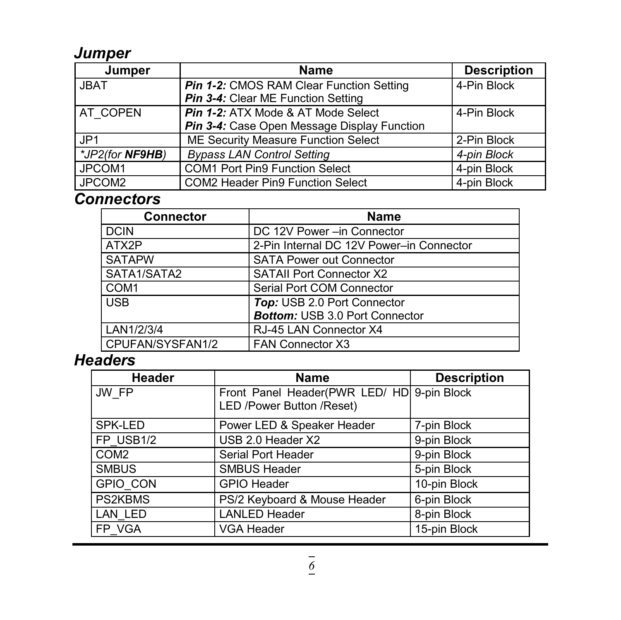#### *Jumper*

| Jumper          | <b>Name</b>                                                                       | <b>Description</b> |
|-----------------|-----------------------------------------------------------------------------------|--------------------|
| <b>JBAT</b>     | Pin 1-2: CMOS RAM Clear Function Setting<br>Pin 3-4: Clear ME Function Setting    | 4-Pin Block        |
| AT COPEN        | Pin 1-2: ATX Mode & AT Mode Select<br>Pin 3-4: Case Open Message Display Function | 4-Pin Block        |
| JP <sub>1</sub> | ME Security Measure Function Select                                               | 2-Pin Block        |
| *JP2(for NF9HB) | <b>Bypass LAN Control Setting</b>                                                 | 4-pin Block        |
| JPCOM1          | <b>COM1 Port Pin9 Function Select</b>                                             | 4-pin Block        |
| JPCOM2          | <b>COM2 Header Pin9 Function Select</b>                                           | 4-pin Block        |

### *Connectors*

| <b>Connector</b> | <b>Name</b>                              |  |
|------------------|------------------------------------------|--|
| <b>DCIN</b>      | DC 12V Power - in Connector              |  |
| ATX2P            | 2-Pin Internal DC 12V Power-in Connector |  |
| <b>SATAPW</b>    | <b>SATA Power out Connector</b>          |  |
| SATA1/SATA2      | <b>SATAII Port Connector X2</b>          |  |
| COM <sub>1</sub> | Serial Port COM Connector                |  |
| <b>USB</b>       | Top: USB 2.0 Port Connector              |  |
|                  | <b>Bottom: USB 3.0 Port Connector</b>    |  |
| LAN1/2/3/4       | RJ-45 LAN Connector X4                   |  |
| CPUFAN/SYSFAN1/2 | <b>FAN Connector X3</b>                  |  |

### *Headers*

| <b>Header</b>    | <b>Name</b>                                | <b>Description</b> |
|------------------|--------------------------------------------|--------------------|
| JW FP            | Front Panel Header(PWR LED/ HD 9-pin Block |                    |
|                  | LED /Power Button /Reset)                  |                    |
| SPK-LED          | Power LED & Speaker Header                 | 7-pin Block        |
| FP USB1/2        | USB 2.0 Header X2                          | 9-pin Block        |
| COM <sub>2</sub> | <b>Serial Port Header</b>                  | 9-pin Block        |
| <b>SMBUS</b>     | <b>SMBUS Header</b>                        | 5-pin Block        |
| <b>GPIO CON</b>  | <b>GPIO Header</b>                         | 10-pin Block       |
| <b>PS2KBMS</b>   | PS/2 Keyboard & Mouse Header               | 6-pin Block        |
| LAN LED          | <b>LANLED Header</b>                       | 8-pin Block        |
| <b>FP VGA</b>    | <b>VGA Header</b>                          | 15-pin Block       |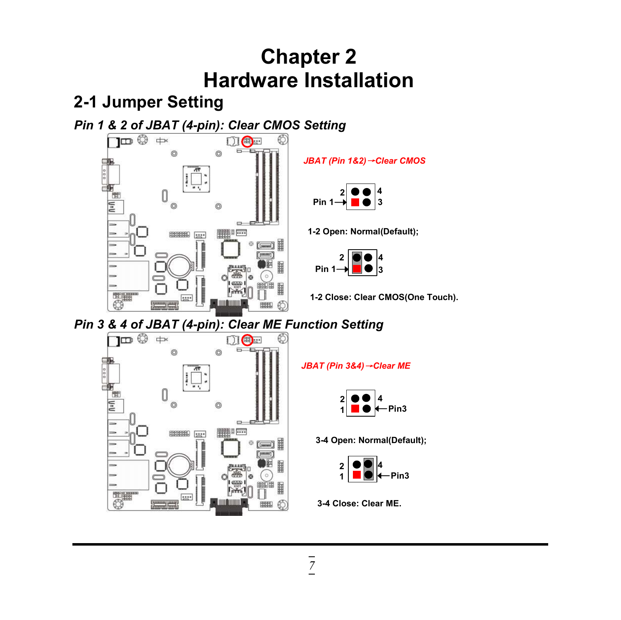# **Chapter 2 Hardware Installation**

### **2-1 Jumper Setting**





*JBAT (Pin 1&2)*→*Clear CMOS*



**1-2 Open: Normal(Default);**



**1-2 Close: Clear CMOS(One Touch).**

# *Pin* 3 & 4 of JBAT (4-pin): Clear ME Function Setting<br>
<del>DIC ∴</del> DIC ∴ ©



*JBAT (Pin 3&4)*→*Clear ME*



**3-4 Open: Normal(Default);**



**3-4 Close: Clear ME.**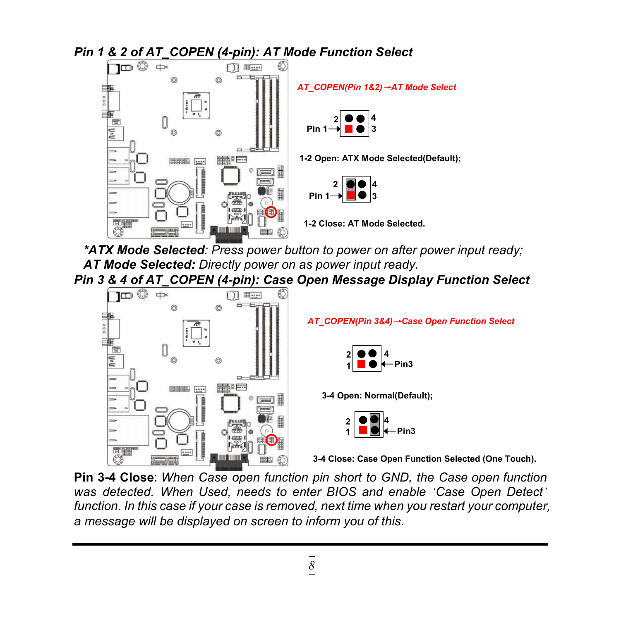

*\*ATX Mode Selected: Press power button to power on after power input ready; AT Mode Selected: Directly power on as power input ready.*

*Pin 3 & 4 of AT\_COPEN (4-pin): Case Open Message Display Function Select*



*AT\_COPEN(Pin 3&4)*→*Case Open Function Select*



**3-4 Open: Normal(Default);**



**3-4 Close: Case Open Function Selected (One Touch).**

**Pin 3-4 Close**: *When Case open function pin short to GND, the Case open function was detected. When Used, needs to enter BIOS and enable 'Case Open Detect' function. In this case if your case is removed, next time when you restart your computer, a message will be displayed on screen to inform you of this.*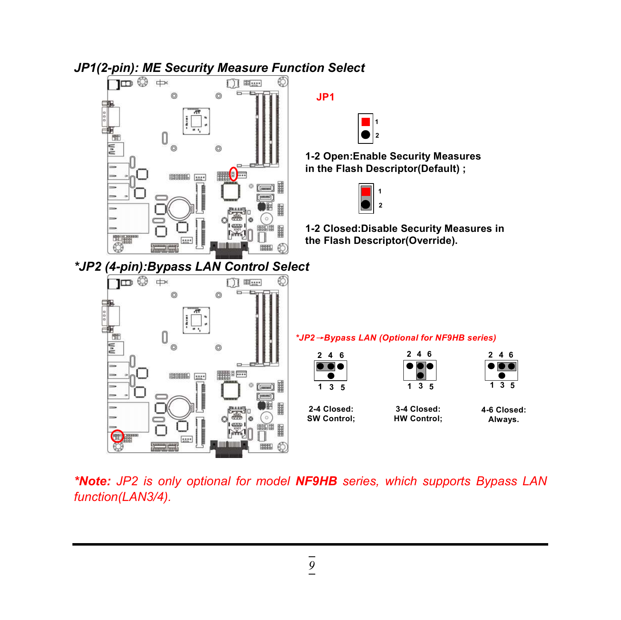

*\*Note: JP2 is only optional for model NF9HB series, which supports Bypass LAN function(LAN3/4).*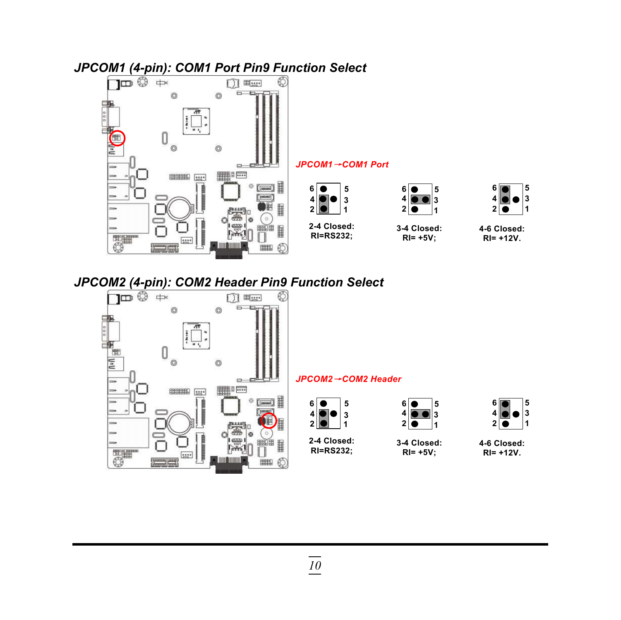



#### *JPCOM1*→*COM1 Port*



**3-4 Closed: RI= +5V;**



#### **4-6 Closed: RI= +12V.**

# *JPCOM2 (4-pin): COM2 Header Pin9 Function Select*



開印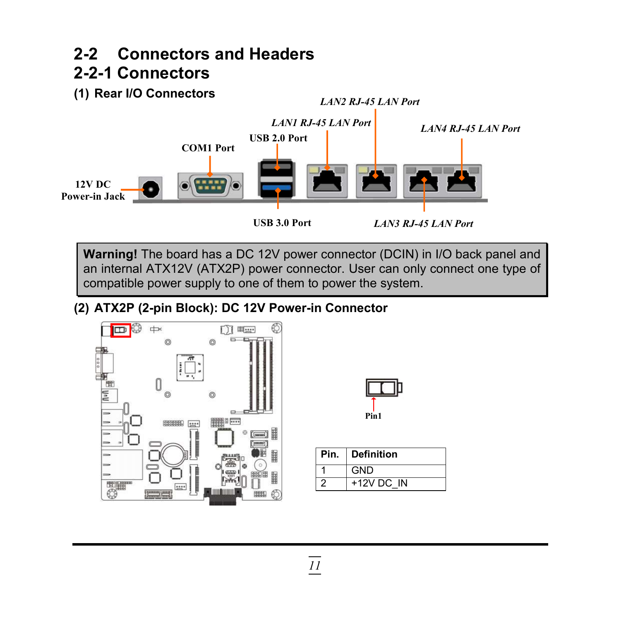#### **2-2 Connectors and Headers 2-2-1 Connectors**

**(1) Rear I/O Connectors**



**Warning!** The board has a DC 12V power connector (DCIN) in I/O back panel and an internal ATX12V (ATX2P) power connector. User can only connect one type of compatible power supply to one of them to power the system.

#### **(2) ATX2P (2-pin Block): DC 12V Power-in Connector**



| Pin1 |  |
|------|--|

| Pin. | ∣ Definition |
|------|--------------|
|      | GND          |
|      | $+12V$ DC IN |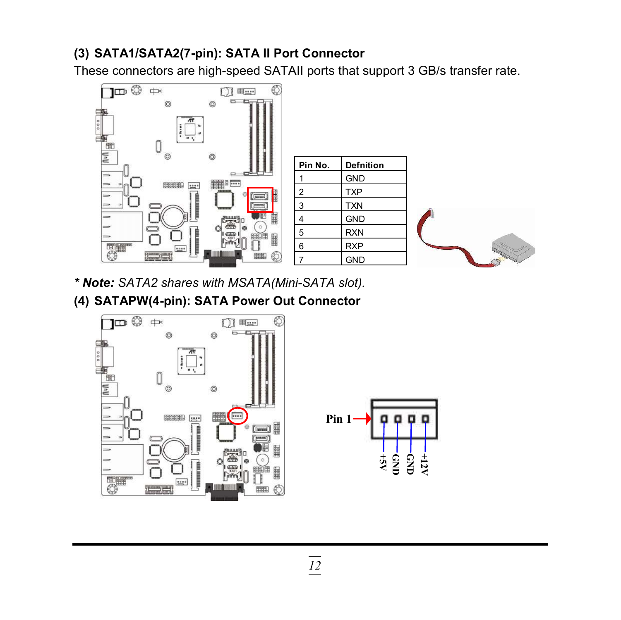#### **(3) SATA1/SATA2(7-pin): SATA II Port Connector**

These connectors are high-speed SATAII ports that support 3 GB/s transfer rate.



- *\* Note: SATA2 shares with MSATA(Mini-SATA slot).*
- **(4) SATAPW(4-pin): SATA Power Out Connector**



**+12V G N D**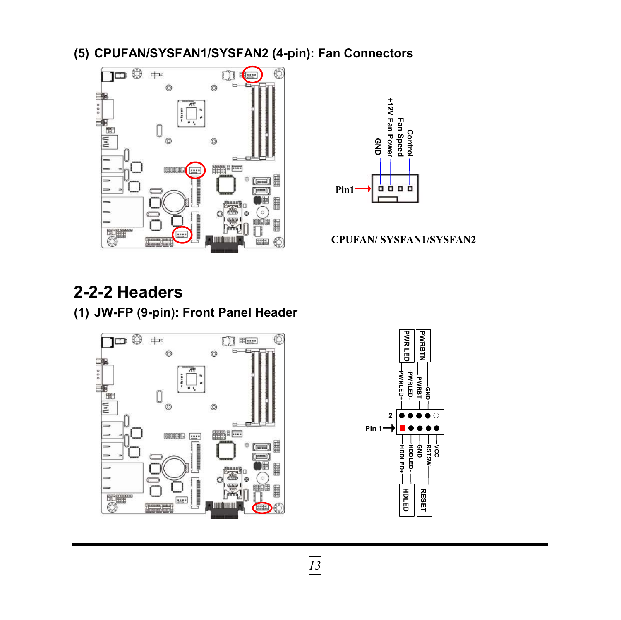**(5) CPUFAN/SYSFAN1/SYSFAN2 (4-pin): Fan Connectors**





#### **CPUFAN/ SYSFAN1/SYSFAN2**

### **2-2-2 Headers**

**(1) JW-FP (9-pin): Front Panel Header**



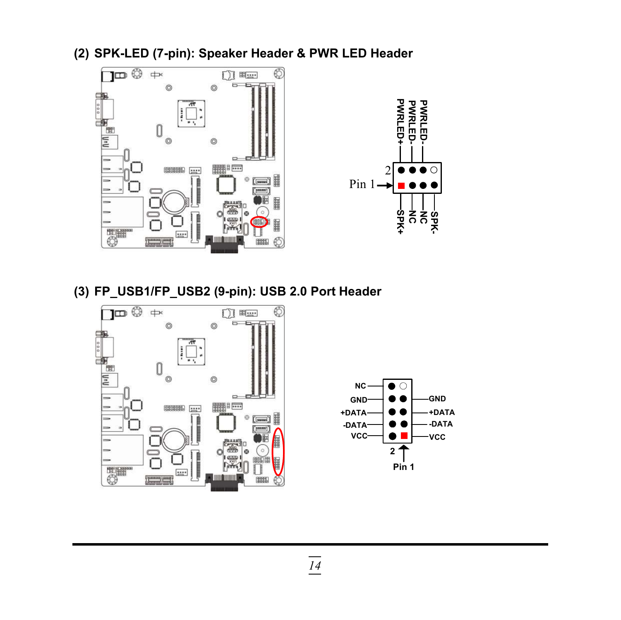**(2) SPK-LED (7-pin): Speaker Header & PWR LED Header**





**(3) FP\_USB1/FP\_USB2 (9-pin): USB 2.0 Port Header**



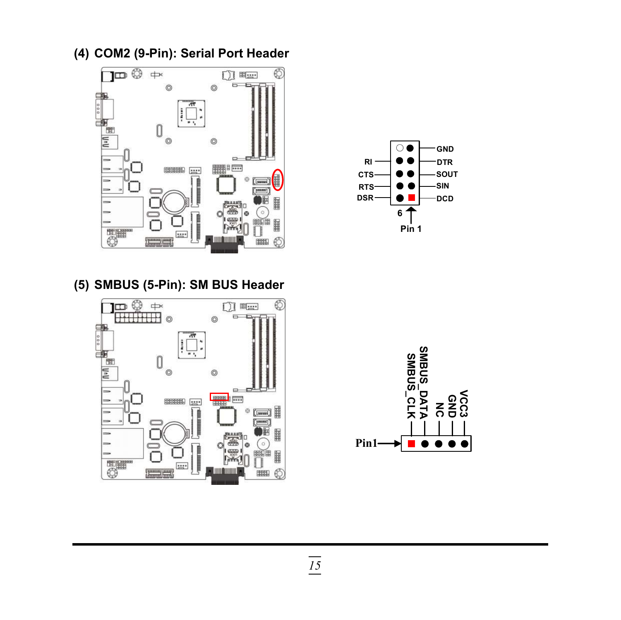**(4) COM2 (9-Pin): Serial Port Header**



**(5) SMBUS (5-Pin): SM BUS Header**





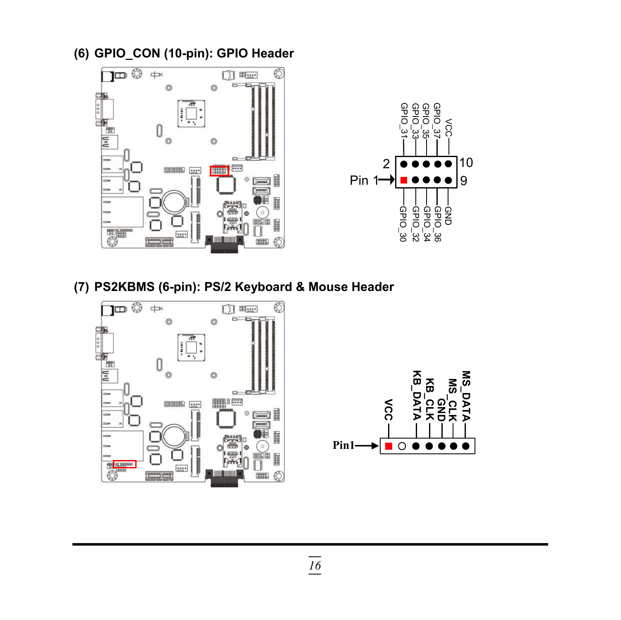**(6) GPIO\_CON (10-pin): GPIO Header**





**(7) PS2KBMS (6-pin): PS/2 Keyboard & Mouse Header**



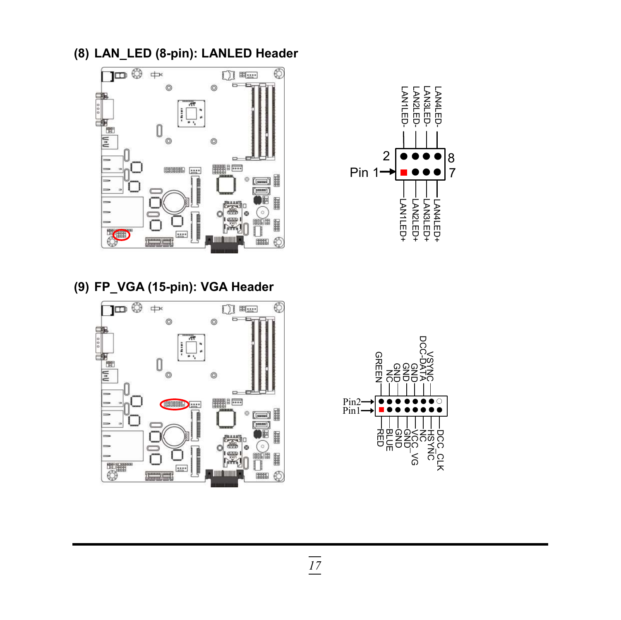**(8) LAN\_LED (8-pin): LANLED Header**









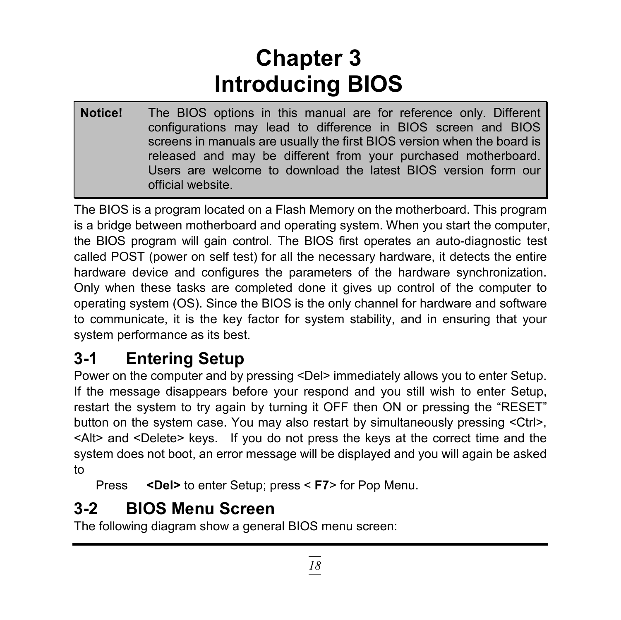# **Chapter 3 Introducing BIOS**

**Notice!** The BIOS options in this manual are for reference only. Different configurations may lead to difference in BIOS screen and BIOS screens in manuals are usually the first BIOS version when the board is released and may be different from your purchased motherboard. Users are welcome to download the latest BIOS version form our official website.

The BIOS is a program located on a Flash Memory on the motherboard. This program is a bridge between motherboard and operating system. When you start the computer, the BIOS program will gain control. The BIOS first operates an auto-diagnostic test called POST (power on self test) for all the necessary hardware, it detects the entire hardware device and configures the parameters of the hardware synchronization. Only when these tasks are completed done it gives up control of the computer to operating system (OS). Since the BIOS is the only channel for hardware and software to communicate, it is the key factor for system stability, and in ensuring that your system performance as its best.

## **3-1 Entering Setup**

Power on the computer and by pressing <Del> immediately allows you to enter Setup. If the message disappears before your respond and you still wish to enter Setup, restart the system to try again by turning it OFF then ON or pressing the "RESET" button on the system case. You may also restart by simultaneously pressing <Ctrl>, <Alt> and <Delete> keys. If you do not press the keys at the correct time and the system does not boot, an error message will be displayed and you will again be asked to

Press **<Del>** to enter Setup; press < **F7**> for Pop Menu.

## **3-2 BIOS Menu Screen**

The following diagram show a general BIOS menu screen: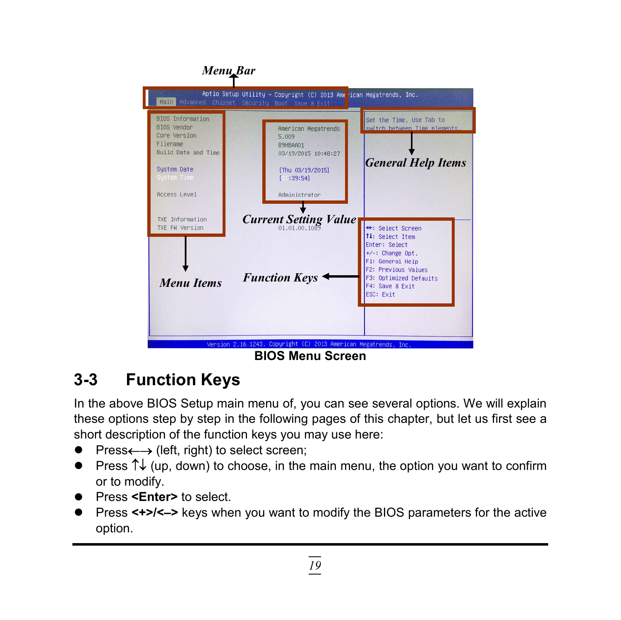

## **3-3 Function Keys**

In the above BIOS Setup main menu of, you can see several options. We will explain these options step by step in the following pages of this chapter, but let us first see a short description of the function keys you may use here:

- $Press \longleftrightarrow$  (left, right) to select screen;
- Press  $\uparrow\downarrow$  (up, down) to choose, in the main menu, the option you want to confirm or to modify.
- Press <**Enter>** to select.
- Press **<+>/<–>** keys when you want to modify the BIOS parameters for the active option.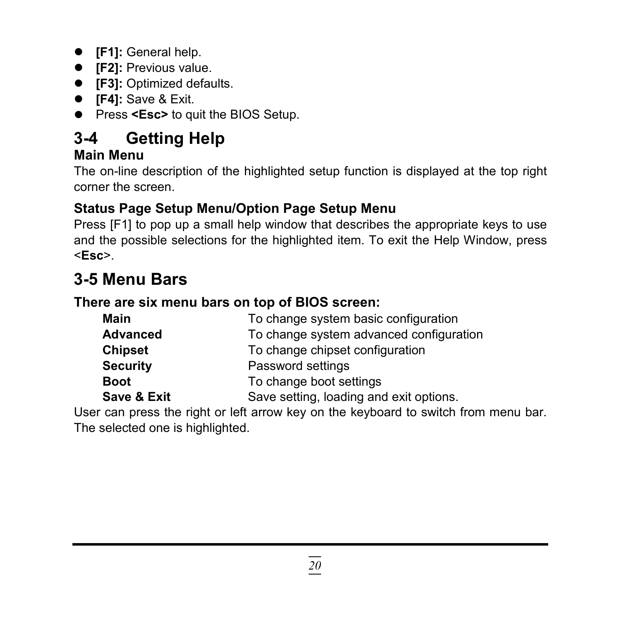- **[F1]:** General help.
- **• [F2]:** Previous value.
- **[F3]:** Optimized defaults.
- **[F4]:** Save & Exit.
- **•** Press <**Esc>** to quit the BIOS Setup.

## **3-4 Getting Help**

#### **Main Menu**

The on-line description of the highlighted setup function is displayed at the top right corner the screen.

#### **Status Page Setup Menu/Option Page Setup Menu**

Press [F1] to pop up a small help window that describes the appropriate keys to use and the possible selections for the highlighted item. To exit the Help Window, press <**Esc**>.

### **3-5 Menu Bars**

#### **There are six menu bars on top of BIOS screen:**

| Main            | To change system basic configuration    |
|-----------------|-----------------------------------------|
| <b>Advanced</b> | To change system advanced configuration |
| Chipset         | To change chipset configuration         |
| <b>Security</b> | Password settings                       |
| <b>Boot</b>     | To change boot settings                 |
| Save & Exit     | Save setting, loading and exit options. |

User can press the right or left arrow key on the keyboard to switch from menu bar. The selected one is highlighted.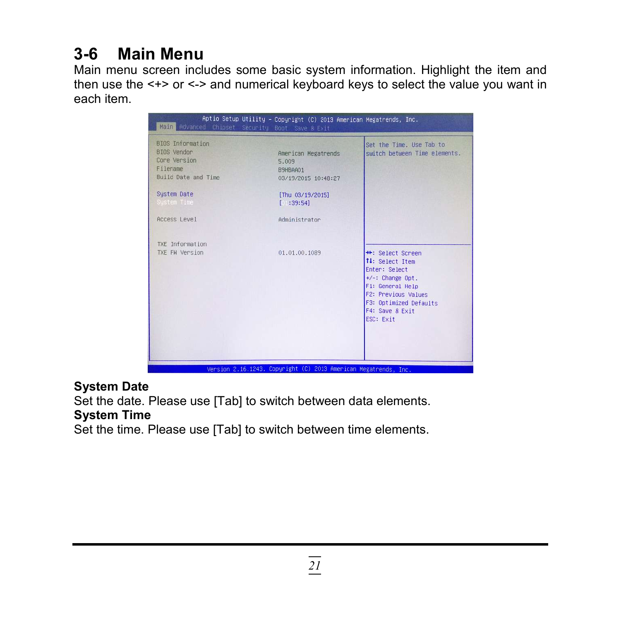## **3-6 Main Menu**

Main menu screen includes some basic system information. Highlight the item and then use the <+> or <-> and numerical keyboard keys to select the value you want in each item.

| Aptio Setup Utility - Copyright (C) 2013 American Megatrends, Inc.<br>Main Advanced Chipset Security Boot Save & Exit |                                                                 |                                                                                                                                                                                          |  |  |
|-----------------------------------------------------------------------------------------------------------------------|-----------------------------------------------------------------|------------------------------------------------------------------------------------------------------------------------------------------------------------------------------------------|--|--|
| BIOS Information<br><b>BIOS</b> Vendor<br>Core Version<br>Filename<br>Build Date and Time                             | American Megatrends<br>5.009<br>B9HBAA01<br>03/19/2015 10:48:27 | Set the Time. Use Tab to<br>switch between Time elements.                                                                                                                                |  |  |
| System Date<br>Sustem Time                                                                                            | [Thu 03/19/2015]<br>1:39:541                                    |                                                                                                                                                                                          |  |  |
| Access Level                                                                                                          | Administrator                                                   |                                                                                                                                                                                          |  |  |
| TXE Information<br>TXE FW Version                                                                                     | 01.01.00.1089                                                   | <b>**:</b> Select Screen<br>14: Select Item<br>Enter: Select<br>$+/-$ : Change Opt.<br>F1: General Help<br>F2: Previous Values<br>F3: Optimized Defaults<br>F4: Save & Exit<br>ESC: Exit |  |  |
|                                                                                                                       | Version 2.16.1243. Copyright (C) 2013 American Megatrends, Inc. |                                                                                                                                                                                          |  |  |

#### **System Date**

Set the date. Please use [Tab] to switch between data elements.

#### **System Time**

Set the time. Please use [Tab] to switch between time elements.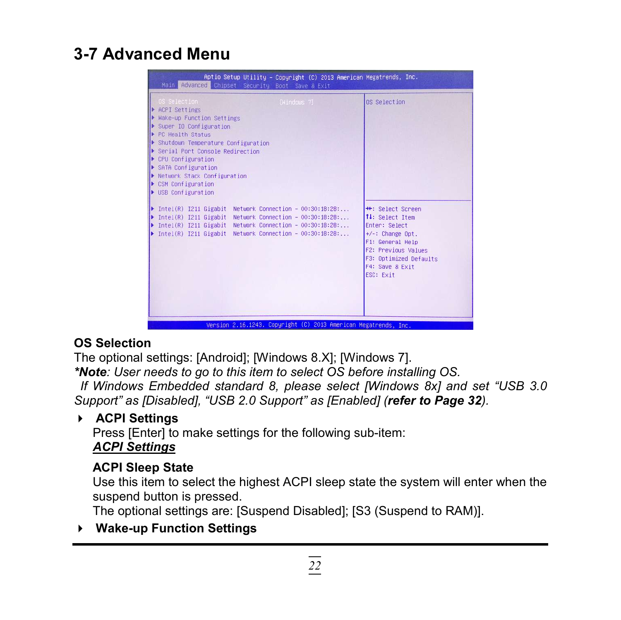### **3-7 Advanced Menu**

| Aptio Setup Utility - Copyright (C) 2013 American Megatrends, Inc.<br>Main Advanced Chipset Security Boot Save & Exit                                                                                                                                                                                                                                                                                                                                                                                                                                                                                                                                                                                                                                       |                                                                                                                                                                                                                |
|-------------------------------------------------------------------------------------------------------------------------------------------------------------------------------------------------------------------------------------------------------------------------------------------------------------------------------------------------------------------------------------------------------------------------------------------------------------------------------------------------------------------------------------------------------------------------------------------------------------------------------------------------------------------------------------------------------------------------------------------------------------|----------------------------------------------------------------------------------------------------------------------------------------------------------------------------------------------------------------|
| OS Selection<br>[Windows 7]<br>▶ ACPI Settings<br>Make-up Function Settings<br>Super IO Configuration<br>PC Health Status<br>Shutdown Temperature Configuration<br>Serial Port Console Redirection<br>$\blacktriangleright$ CPU Configuration<br>$\triangleright$ SATA Configuration<br>▶ Network Stack Configuration<br>▶ CSM Configuration<br>$\blacktriangleright$ USB Configuration<br>$\blacktriangleright$ Intel(R) I211 Gigabit Network Connection - 00:30:18:28:<br>$\blacktriangleright$ Intel(R) I211 Gigabit<br>Network Connection - $00:30:18:28:$<br>▶ Intel(R) I211 Gigabit Network Connection - 00:30:18:28:<br>> Intel(R) I211 Gigabit Network Connection - 00:30:18:28:<br>Version 2.16.1243. Copyright (C) 2013 American Megatrends, Inc. | OS Selection<br><b>++:</b> Select Screen<br>↑↓: Select Item<br>Enter: Select<br>$+\angle -$ : Change Opt.<br>F1: General Help<br>F2: Previous Values<br>F3: Optimized Defaults<br>F4: Save & Exit<br>ESC: Exit |

#### **OS Selection**

The optional settings: [Android]; [Windows 8.X]; [Windows 7].

*\*Note: User needs to go to this item to select OS before installing OS. If Windows Embedded standard 8, please select [Windows 8x] and set "USB 3.0 Support" as [Disabled], "USB 2.0 Support" as [Enabled] (refer to Page 32).*

#### **ACPI Settings**

Press [Enter] to make settings for the following sub-item: *ACPI Settings*

#### **ACPI Sleep State**

Use this item to select the highest ACPI sleep state the system will enter when the suspend button is pressed.

The optional settings are: [Suspend Disabled]; [S3 (Suspend to RAM)].

**Wake-up Function Settings**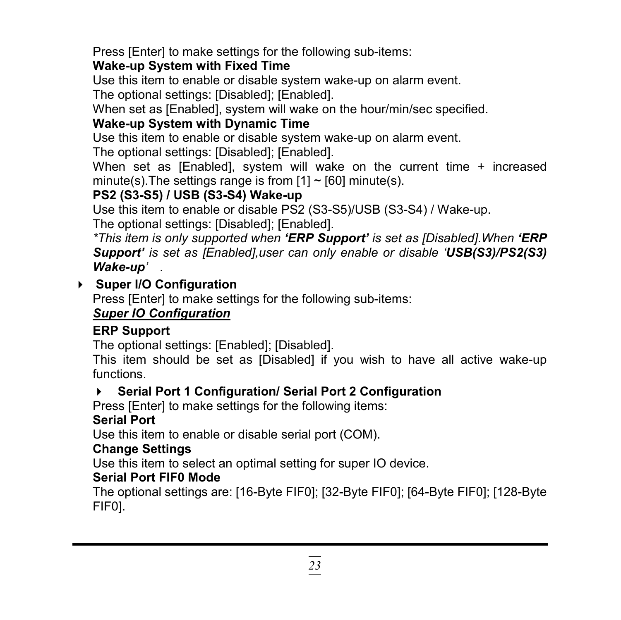Press [Enter] to make settings for the following sub-items:

#### **Wake-up System with Fixed Time**

Use this item to enable or disable system wake-up on alarm event.

The optional settings: [Disabled]; [Enabled].

When set as [Enabled], system will wake on the hour/min/sec specified.

#### **Wake-up System with Dynamic Time**

Use this item to enable or disable system wake-up on alarm event.

The optional settings: [Disabled]; [Enabled].

When set as [Enabled], system will wake on the current time + increased minute(s). The settings range is from  $[1] \sim [60]$  minute(s).

#### **PS2 (S3-S5) / USB (S3-S4) Wake-up**

Use this item to enable or disable PS2 (S3-S5)/USB (S3-S4) / Wake-up.

The optional settings: [Disabled]; [Enabled].

*\*This item is only supported when 'ERP Support' is set as [Disabled].When 'ERP Support' is set as [Enabled],user can only enable or disable 'USB(S3)/PS2(S3) Wake-up' .*

#### **Super I/O Configuration**

Press [Enter] to make settings for the following sub-items:

#### *Super IO Configuration*

#### **ERP Support**

The optional settings: [Enabled]; [Disabled].

This item should be set as [Disabled] if you wish to have all active wake-up functions.

#### **Serial Port 1 Configuration/ Serial Port 2 Configuration**

Press [Enter] to make settings for the following items:

#### **Serial Port**

Use this item to enable or disable serial port (COM).

#### **Change Settings**

Use this item to select an optimal setting for super IO device.

#### **Serial Port FIF0 Mode**

The optional settings are: [16-Byte FIF0]; [32-Byte FIF0]; [64-Byte FIF0]; [128-Byte FIF0].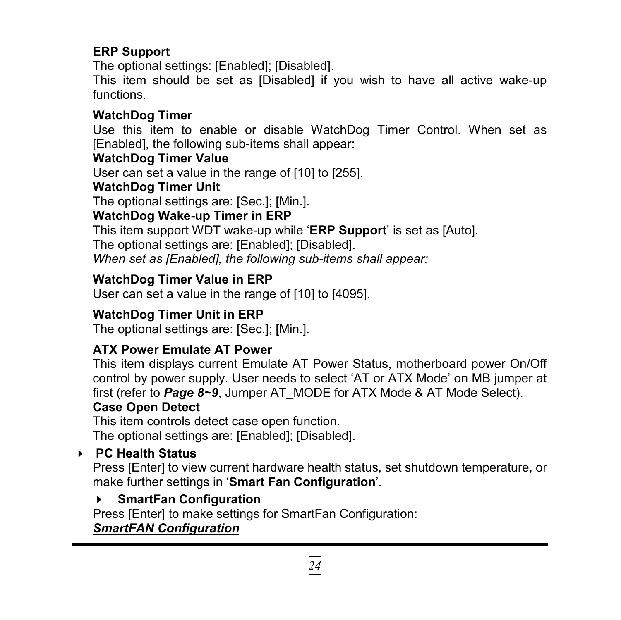#### **ERP Support**

The optional settings: [Enabled]; [Disabled].

This item should be set as [Disabled] if you wish to have all active wake-up functions.

#### **WatchDog Timer**

Use this item to enable or disable WatchDog Timer Control. When set as [Enabled], the following sub-items shall appear:

#### **WatchDog Timer Value**

User can set a value in the range of [10] to [255].

#### **WatchDog Timer Unit**

The optional settings are: [Sec.]; [Min.].

#### **WatchDog Wake-up Timer in ERP**

This item support WDT wake-up while '**ERP Support**' is set as [Auto].

The optional settings are: [Enabled]; [Disabled].

*When set as [Enabled], the following sub-items shall appear:*

#### **WatchDog Timer Value in ERP**

User can set a value in the range of [10] to [4095].

#### **WatchDog Timer Unit in ERP**

The optional settings are: [Sec.]; [Min.].

#### **ATX Power Emulate AT Power**

This item displays current Emulate AT Power Status, motherboard power On/Off control by power supply. User needs to select 'AT or ATX Mode' on MB jumper at first (refer to *Page 8~9*, Jumper AT\_MODE for ATX Mode & AT Mode Select).

#### **Case Open Detect**

This item controls detect case open function.

The optional settings are: [Enabled]; [Disabled].

#### **PC Health Status**

Press [Enter] to view current hardware health status, set shutdown temperature, or make further settings in '**Smart Fan Configuration**'.

#### **SmartFan Configuration**

Press [Enter] to make settings for SmartFan Configuration:

#### *SmartFAN Configuration*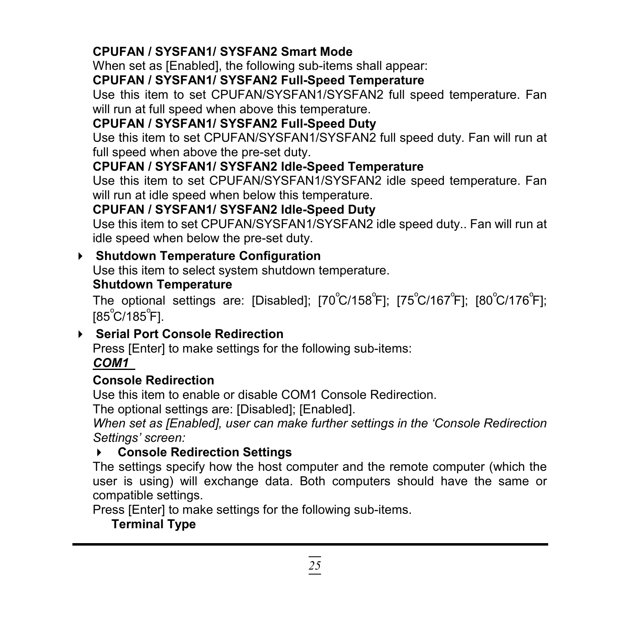#### **CPUFAN / SYSFAN1/ SYSFAN2 Smart Mode**

When set as [Enabled], the following sub-items shall appear:

#### **CPUFAN / SYSFAN1/ SYSFAN2 Full-Speed Temperature**

Use this item to set CPUFAN/SYSFAN1/SYSFAN2 full speed temperature. Fan will run at full speed when above this temperature.

#### **CPUFAN / SYSFAN1/ SYSFAN2 Full-Speed Duty**

Use this item to set CPUFAN/SYSFAN1/SYSFAN2 full speed duty. Fan will run at full speed when above the pre-set duty.

#### **CPUFAN / SYSFAN1/ SYSFAN2 Idle-Speed Temperature**

Use this item to set CPUFAN/SYSFAN1/SYSFAN2 idle speed temperature. Fan will run at idle speed when below this temperature.

#### **CPUFAN / SYSFAN1/ SYSFAN2 Idle-Speed Duty**

Use this item to set CPUFAN/SYSFAN1/SYSFAN2 idle speed duty.. Fan will run at idle speed when below the pre-set duty.

#### **Shutdown Temperature Configuration**

Use this item to select system shutdown temperature.

#### **Shutdown Temperature**

The optional settings are: [Disabled]; [70 $^{\circ}$ C/158 $^{\circ}$ F]; [75 $^{\circ}$ C/167 $^{\circ}$ F]; [80 $^{\circ}$ C/176 $^{\circ}$ F]; [85°C/185°F].

#### **Serial Port Console Redirection**

Press [Enter] to make settings for the following sub-items:

#### *COM1*

#### **Console Redirection**

Use this item to enable or disable COM1 Console Redirection.

The optional settings are: [Disabled]; [Enabled].

*When set as [Enabled], user can make further settings in the 'Console Redirection Settings' screen:*

#### **Console Redirection Settings**

The settings specify how the host computer and the remote computer (which the user is using) will exchange data. Both computers should have the same or compatible settings.

Press [Enter] to make settings for the following sub-items.

### **Terminal Type**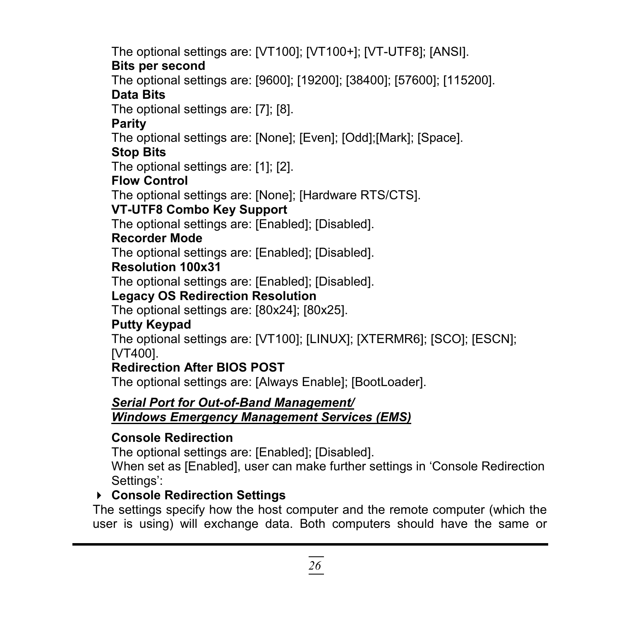The optional settings are: [VT100]; [VT100+]; [VT-UTF8]; [ANSI].

#### **Bits per second**

The optional settings are: [9600]; [19200]; [38400]; [57600]; [115200].

#### **Data Bits**

The optional settings are: [7]; [8].

#### **Parity**

The optional settings are: [None]; [Even]; [Odd];[Mark]; [Space].

#### **Stop Bits**

The optional settings are: [1]; [2].

#### **Flow Control**

The optional settings are: [None]; [Hardware RTS/CTS].

#### **VT-UTF8 Combo Key Support**

The optional settings are: [Enabled]; [Disabled].

#### **Recorder Mode**

The optional settings are: [Enabled]; [Disabled].

#### **Resolution 100x31**

The optional settings are: [Enabled]; [Disabled].

#### **Legacy OS Redirection Resolution**

The optional settings are: [80x24]; [80x25].

#### **Putty Keypad**

The optional settings are: [VT100]; [LINUX]; [XTERMR6]; [SCO]; [ESCN]; [VT400].

#### **Redirection After BIOS POST**

The optional settings are: [Always Enable]; [BootLoader].

### *Serial Port for Out-of-Band Management/*

#### *Windows Emergency Management Services (EMS)*

#### **Console Redirection**

The optional settings are: [Enabled]; [Disabled].

When set as [Enabled], user can make further settings in 'Console Redirection Settings':

#### **Console Redirection Settings**

The settings specify how the host computer and the remote computer (which the user is using) will exchange data. Both computers should have the same or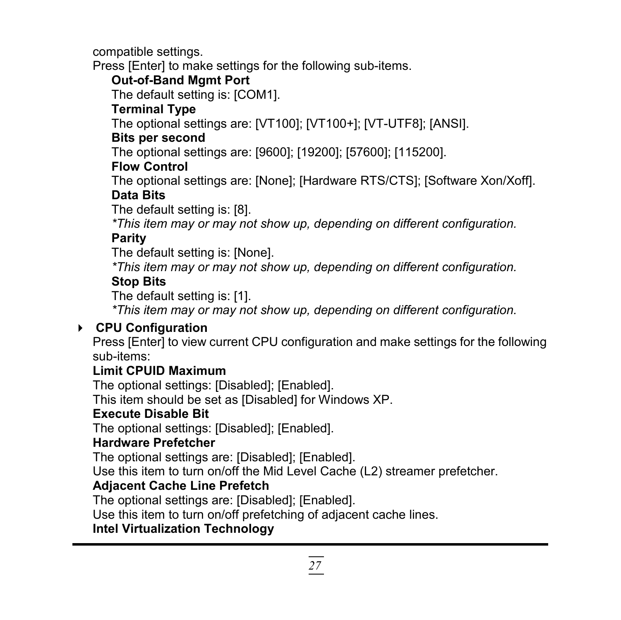compatible settings.

Press [Enter] to make settings for the following sub-items.

#### **Out-of-Band Mgmt Port**

The default setting is: [COM1].

#### **Terminal Type**

The optional settings are: [VT100]; [VT100+]; [VT-UTF8]; [ANSI].

#### **Bits per second**

The optional settings are: [9600]; [19200]; [57600]; [115200].

#### **Flow Control**

The optional settings are: [None]; [Hardware RTS/CTS]; [Software Xon/Xoff].

#### **Data Bits**

The default setting is: [8].

*\*This item may or may not show up, depending on different configuration.*

#### **Parity**

The default setting is: [None].

*\*This item may or may not show up, depending on different configuration.*

#### **Stop Bits**

The default setting is: [1].

*\*This item may or may not show up, depending on different configuration.*

#### **CPU Configuration**

Press [Enter] to view current CPU configuration and make settings for the following sub-items:

#### **Limit CPUID Maximum**

The optional settings: [Disabled]; [Enabled].

This item should be set as [Disabled] for Windows XP.

#### **Execute Disable Bit**

The optional settings: [Disabled]; [Enabled].

#### **Hardware Prefetcher**

The optional settings are: [Disabled]; [Enabled].

Use this item to turn on/off the Mid Level Cache (L2) streamer prefetcher.

#### **Adjacent Cache Line Prefetch**

The optional settings are: [Disabled]; [Enabled].

Use this item to turn on/off prefetching of adjacent cache lines.

#### **Intel Virtualization Technology**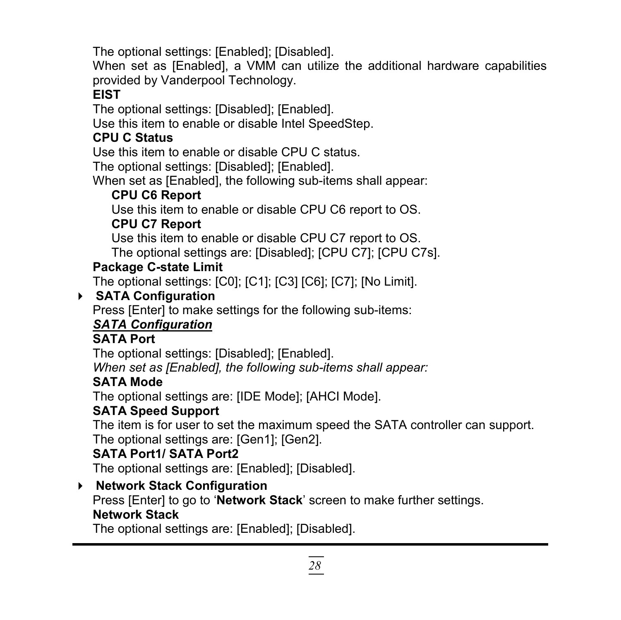The optional settings: [Enabled]; [Disabled].

When set as [Enabled], a VMM can utilize the additional hardware capabilities provided by Vanderpool Technology.

#### **EIST**

The optional settings: [Disabled]; [Enabled].

Use this item to enable or disable Intel SpeedStep.

#### **CPU C Status**

Use this item to enable or disable CPU C status.

The optional settings: [Disabled]; [Enabled].

When set as [Enabled], the following sub-items shall appear:

#### **CPU C6 Report**

Use this item to enable or disable CPU C6 report to OS.

#### **CPU C7 Report**

Use this item to enable or disable CPU C7 report to OS.

The optional settings are: [Disabled]; [CPU C7]; [CPU C7s].

#### **Package C-state Limit**

The optional settings: [C0]; [C1]; [C3] [C6]; [C7]; [No Limit].

#### **SATA Configuration**

Press [Enter] to make settings for the following sub-items:

#### *SATA Configuration*

#### **SATA Port**

The optional settings: [Disabled]; [Enabled].

*When set as [Enabled], the following sub-items shall appear:*

#### **SATA Mode**

The optional settings are: [IDE Mode]; [AHCI Mode].

#### **SATA Speed Support**

The item is for user to set the maximum speed the SATA controller can support. The optional settings are: [Gen1]; [Gen2].

#### **SATA Port1/ SATA Port2**

The optional settings are: [Enabled]; [Disabled].

#### **Network Stack Configuration**

Press [Enter] to go to '**Network Stack**' screen to make further settings. **Network Stack**

The optional settings are: [Enabled]; [Disabled].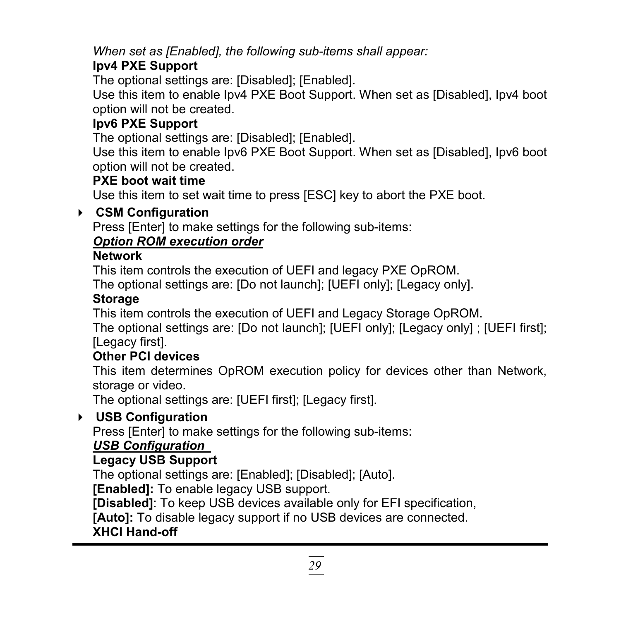*When set as [Enabled], the following sub-items shall appear:*

#### **Ipv4 PXE Support**

The optional settings are: [Disabled]; [Enabled].

Use this item to enable Ipv4 PXE Boot Support. When set as [Disabled], Ipv4 boot option will not be created.

#### **Ipv6 PXE Support**

The optional settings are: [Disabled]; [Enabled].

Use this item to enable Ipv6 PXE Boot Support. When set as [Disabled], Ipv6 boot option will not be created.

#### **PXE boot wait time**

Use this item to set wait time to press [ESC] key to abort the PXE boot.

#### **CSM Configuration**

Press [Enter] to make settings for the following sub-items:

#### *Option ROM execution order*

#### **Network**

This item controls the execution of UEFI and legacy PXE OpROM.

The optional settings are: [Do not launch]; [UEFI only]; [Legacy only].

#### **Storage**

This item controls the execution of UEFI and Legacy Storage OpROM.

The optional settings are: [Do not launch]; [UEFI only]; [Legacy only] ; [UEFI first]; [Legacy first].

#### **Other PCI devices**

This item determines OpROM execution policy for devices other than Network, storage or video.

The optional settings are: [UEFI first]; [Legacy first].

#### **USB Configuration**

Press [Enter] to make settings for the following sub-items:

#### *USB Configuration*

#### **Legacy USB Support**

The optional settings are: [Enabled]; [Disabled]; [Auto].

**[Enabled]:** To enable legacy USB support.

**[Disabled]**: To keep USB devices available only for EFI specification,

**[Auto]:** To disable legacy support if no USB devices are connected.

#### **XHCI Hand-off**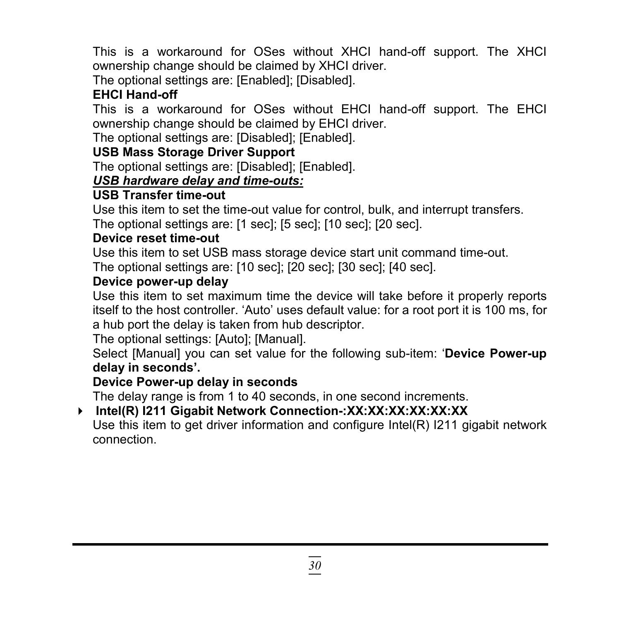This is a workaround for OSes without XHCI hand-off support. The XHCI ownership change should be claimed by XHCI driver.

The optional settings are: [Enabled]; [Disabled].

#### **EHCI Hand-off**

This is a workaround for OSes without EHCI hand-off support. The EHCI ownership change should be claimed by EHCI driver.

The optional settings are: [Disabled]; [Enabled].

#### **USB Mass Storage Driver Support**

The optional settings are: [Disabled]; [Enabled].

#### *USB hardware delay and time-outs:*

#### **USB Transfer time-out**

Use this item to set the time-out value for control, bulk, and interrupt transfers. The optional settings are: [1 sec]; [5 sec]; [10 sec]; [20 sec].

#### **Device reset time-out**

Use this item to set USB mass storage device start unit command time-out. The optional settings are: [10 sec]; [20 sec]; [30 sec]; [40 sec].

#### **Device power-up delay**

Use this item to set maximum time the device will take before it properly reports itself to the host controller. 'Auto' uses default value: for a root port it is 100 ms, for a hub port the delay is taken from hub descriptor.

The optional settings: [Auto]; [Manual].

Select [Manual] you can set value for the following sub-item: '**Device Power-up delay in seconds'.**

#### **Device Power-up delay in seconds**

The delay range is from 1 to 40 seconds, in one second increments.

## **Intel(R) I211 Gigabit Network Connection-:XX:XX:XX:XX:XX:XX**

Use this item to get driver information and configure Intel(R) I211 gigabit network connection.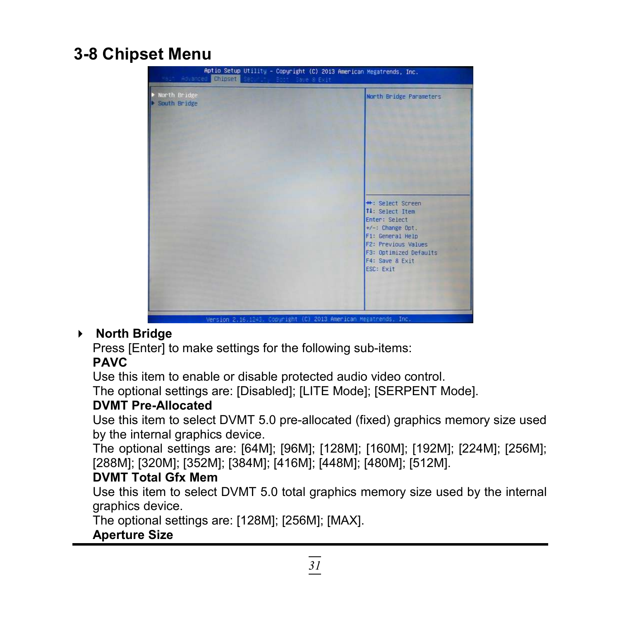### **3-8 Chipset Menu**



#### **North Bridge**

Press [Enter] to make settings for the following sub-items:

#### **PAVC**

Use this item to enable or disable protected audio video control.

The optional settings are: [Disabled]; [LITE Mode]; [SERPENT Mode].

#### **DVMT Pre-Allocated**

Use this item to select DVMT 5.0 pre-allocated (fixed) graphics memory size used by the internal graphics device.

The optional settings are: [64M]; [96M]; [128M]; [160M]; [192M]; [224M]; [256M]; [288M]; [320M]; [352M]; [384M]; [416M]; [448M]; [480M]; [512M].

#### **DVMT Total Gfx Mem**

Use this item to select DVMT 5.0 total graphics memory size used by the internal graphics device.

The optional settings are: [128M]; [256M]; [MAX].

#### **Aperture Size**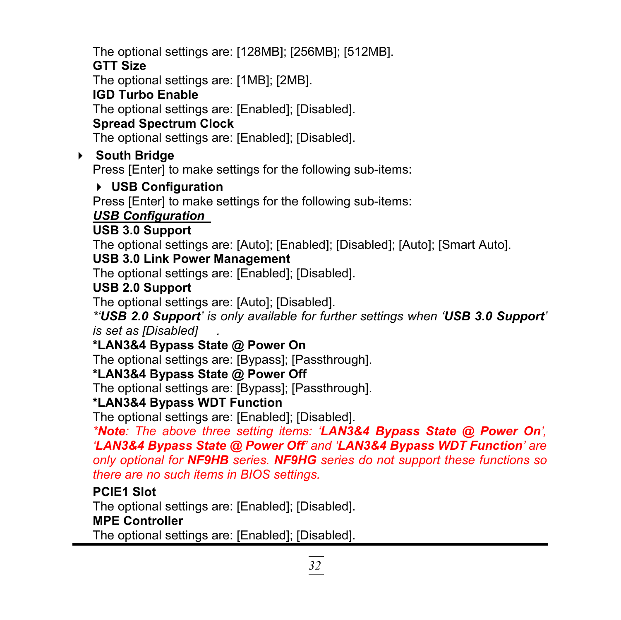The optional settings are: [128MB]; [256MB]; [512MB].

#### **GTT Size**

The optional settings are: [1MB]; [2MB].

#### **IGD Turbo Enable**

The optional settings are: [Enabled]; [Disabled].

### **Spread Spectrum Clock**

The optional settings are: [Enabled]; [Disabled].

### **South Bridge**

Press [Enter] to make settings for the following sub-items:

### **USB Configuration**

Press [Enter] to make settings for the following sub-items:

### *USB Configuration*

#### **USB 3.0 Support**

The optional settings are: [Auto]; [Enabled]; [Disabled]; [Auto]; [Smart Auto].

#### **USB 3.0 Link Power Management**

The optional settings are: [Enabled]; [Disabled].

#### **USB 2.0 Support**

The optional settings are: [Auto]; [Disabled].

*\*'USB 2.0 Support' is only available for further settings when 'USB 3.0 Support' is set as [Disabled] .*

#### **\*LAN3&4 Bypass State @ Power On**

The optional settings are: [Bypass]; [Passthrough].

#### **\*LAN3&4 Bypass State @ Power Off**

The optional settings are: [Bypass]; [Passthrough].

#### **\*LAN3&4 Bypass WDT Function**

The optional settings are: [Enabled]; [Disabled].

*\*Note: The above three setting items: 'LAN3&4 Bypass State @ Power On', 'LAN3&4 Bypass State @ Power Off' and 'LAN3&4 Bypass WDT Function' are only optional for NF9HB series. NF9HG series do not support these functions so there are no such items in BIOS settings.*

#### **PCIE1 Slot**

The optional settings are: [Enabled]; [Disabled]. **MPE Controller**

The optional settings are: [Enabled]; [Disabled].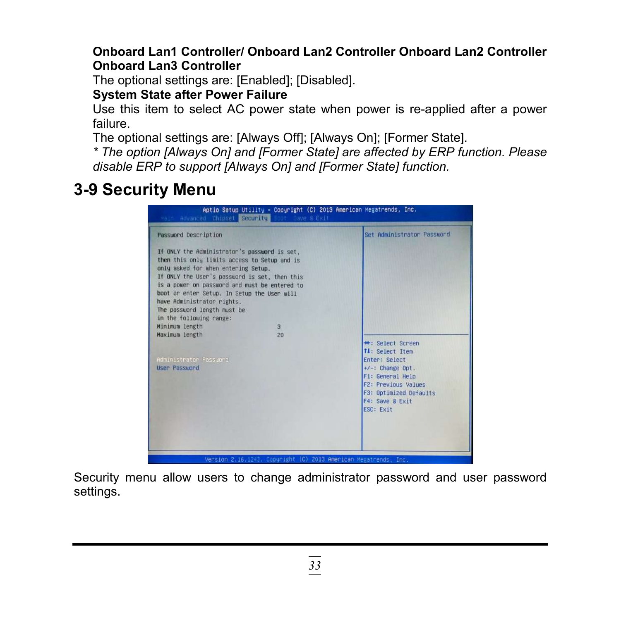#### **Onboard Lan1 Controller/ Onboard Lan2 Controller Onboard Lan2 Controller Onboard Lan3 Controller**

The optional settings are: [Enabled]; [Disabled].

**System State after Power Failure**

Use this item to select AC power state when power is re-applied after a power failure.

The optional settings are: [Always Off]; [Always On]; [Former State].

*\* The option [Always On] and [Former State] are affected by ERP function. Please disable ERP to support [Always On] and [Former State] function.*

### **3-9 Security Menu**

|                                                                                                                                                                                                                                                                                                                                                                              |    | Set Administrator Password                         |
|------------------------------------------------------------------------------------------------------------------------------------------------------------------------------------------------------------------------------------------------------------------------------------------------------------------------------------------------------------------------------|----|----------------------------------------------------|
| If ONLY the Administrator's password is set.<br>then this only limits access to Setup and is<br>only asked for when entering Setup.<br>If ONLY the User's password is set, then this<br>is a power on password and must be entered to<br>boot or enter Setup. In Setup the User will<br>have Administrator rights.<br>The password length must be<br>in the following range: |    |                                                    |
| Minimum length                                                                                                                                                                                                                                                                                                                                                               | 3  |                                                    |
| Maximum length                                                                                                                                                                                                                                                                                                                                                               | 20 | <b>**: Select Screen</b><br><b>14:</b> Select Item |
| Administrator Passuord                                                                                                                                                                                                                                                                                                                                                       |    | Enter: Select                                      |
| <b>User Password</b>                                                                                                                                                                                                                                                                                                                                                         |    | $+/-$ : Change Opt.                                |
|                                                                                                                                                                                                                                                                                                                                                                              |    | F1: General Help                                   |
|                                                                                                                                                                                                                                                                                                                                                                              |    | <b>F2: Previous Values</b>                         |
|                                                                                                                                                                                                                                                                                                                                                                              |    | F3: Optimized Defaults<br>F4: Save & Exit          |
|                                                                                                                                                                                                                                                                                                                                                                              |    | ESC: Exit                                          |
|                                                                                                                                                                                                                                                                                                                                                                              |    |                                                    |

Security menu allow users to change administrator password and user password settings.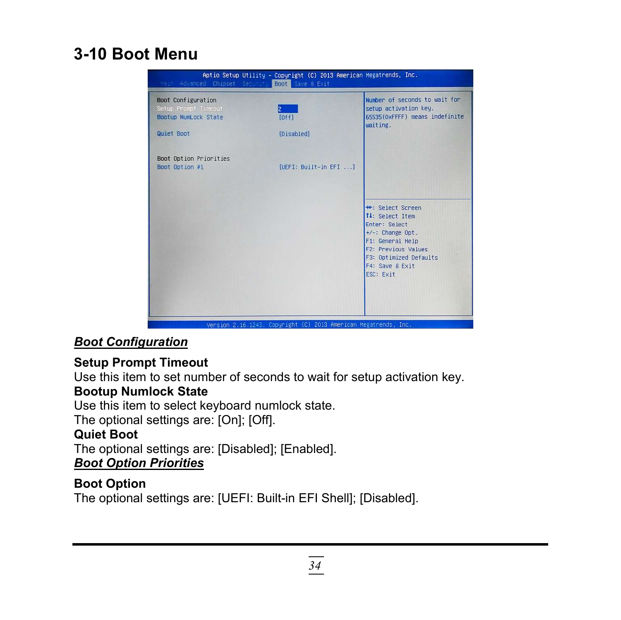### **3-10 Boot Menu**



#### *Boot Configuration*

#### **Setup Prompt Timeout**

Use this item to set number of seconds to wait for setup activation key.

#### **Bootup Numlock State**

Use this item to select keyboard numlock state.

The optional settings are: [On]; [Off].

#### **Quiet Boot**

The optional settings are: [Disabled]; [Enabled].

#### *Boot Option Priorities*

#### **Boot Option**

The optional settings are: [UEFI: Built-in EFI Shell]; [Disabled].